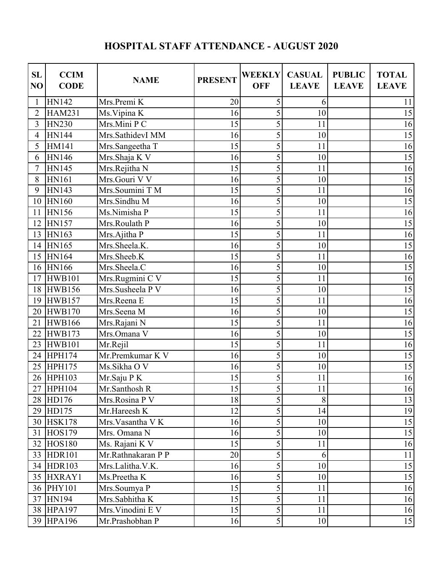## **HOSPITAL STAFF ATTENDANCE - AUGUST 2020**

| <b>SL</b><br>NO | <b>CCIM</b><br><b>CODE</b> | <b>NAME</b>                  | <b>PRESENT</b> | <b>WEEKLY</b><br><b>OFF</b> | <b>CASUAL</b><br><b>LEAVE</b> | <b>PUBLIC</b><br><b>LEAVE</b> | <b>TOTAL</b><br><b>LEAVE</b> |
|-----------------|----------------------------|------------------------------|----------------|-----------------------------|-------------------------------|-------------------------------|------------------------------|
| 1               | <b>HN142</b>               | Mrs.Premi K                  | 20             | 5                           | 6                             |                               | 11                           |
| $\overline{2}$  | <b>HAM231</b>              | Ms. Vipina K                 | 16             | 5                           | 10                            |                               | 15                           |
| 3               | <b>HN230</b>               | Mrs.Mini P C                 | 15             | 5                           | 11                            |                               | 16                           |
| $\overline{4}$  | <b>HN144</b>               | Mrs.SathidevI MM             | 16             | 5                           | 10                            |                               | 15                           |
| 5               | <b>HM141</b>               | Mrs.Sangeetha T              | 15             | 5                           | 11                            |                               | 16                           |
| 6               | <b>HN146</b>               | Mrs.Shaja K V                | 16             | 5                           | 10                            |                               | 15                           |
| 7               | <b>HN145</b>               | Mrs.Rejitha N                | 15             | 5                           | 11                            |                               | 16                           |
| 8               | <b>HN161</b>               | Mrs.Gouri V V                | 16             | $\overline{5}$              | 10                            |                               | 15                           |
| 9               | <b>HN143</b>               | Mrs.Soumini T M              | 15             | 5                           | 11                            |                               | 16                           |
| 10              | <b>HN160</b>               | Mrs.Sindhu M                 | 16             | 5                           | 10                            |                               | 15                           |
| 11              | <b>HN156</b>               | Ms.Nimisha P                 | 15             | 5                           | 11                            |                               | 16                           |
| 12              | <b>HN157</b>               | Mrs.Roulath P                | 16             | 5                           | 10                            |                               | 15                           |
| 13              | HN163                      | Mrs.Ajitha P                 | 15             | 5                           | 11                            |                               | 16                           |
| 14              | HN165                      | Mrs.Sheela.K.                | 16             | 5                           | 10                            |                               | 15                           |
| 15              | HN164                      | Mrs.Sheeb.K                  | 15             | 5                           | 11                            |                               | 16                           |
| 16              | <b>HN166</b>               | Mrs.Sheela.C                 | 16             | 5                           | 10                            |                               | 15                           |
| 17              | <b>HWB101</b>              | Mrs.Rugmini C $\overline{V}$ | 15             | 5                           | 11                            |                               | 16                           |
| 18              | <b>HWB156</b>              | Mrs.Susheela P V             | 16             | 5                           | 10                            |                               | 15                           |
| 19              | <b>HWB157</b>              | Mrs.Reena E                  | 15             | 5                           | 11                            |                               | 16                           |
| 20              | <b>HWB170</b>              | Mrs.Seena M                  | 16             | $\overline{5}$              | 10                            |                               | 15                           |
| 21              | <b>HWB166</b>              | Mrs.Rajani N                 | 15             | $\overline{5}$              | 11                            |                               | 16                           |
| 22              | <b>HWB173</b>              | Mrs.Omana V                  | 16             | 5                           | 10                            |                               | 15                           |
| 23              | <b>HWB101</b>              | Mr.Rejil                     | 15             | 5                           | 11                            |                               | 16                           |
| 24              | <b>HPH174</b>              | Mr.Premkumar K V             | 16             | 5                           | 10                            |                               | 15                           |
| 25              | <b>HPH175</b>              | Ms.Sikha O V                 | 16             | 5                           | 10                            |                               | 15                           |
| 26              | <b>HPH103</b>              | Mr.Saju PK                   | 15             | 5                           | 11                            |                               | 16                           |
| $2\overline{7}$ | HPH104                     | Mr.Santhosh R                | 15             | $\overline{5}$              | 11                            |                               | 16                           |
|                 | 28 HD176                   | Mrs.Rosina P V               | 18             | 5                           | 8                             |                               | 13                           |
|                 | 29 HD175                   | Mr.Hareesh K                 | 12             | 5                           | 14                            |                               | 19                           |
|                 | 30 HSK178                  | Mrs. Vasantha V K            | 16             | 5                           | 10                            |                               | 15                           |
| 31              | <b>HOS179</b>              | Mrs. Omana N                 | 16             | 5                           | 10                            |                               | 15                           |
| 32              | <b>HOS180</b>              | Ms. Rajani K V               | 15             | 5                           | 11                            |                               | 16                           |
|                 | 33 HDR101                  | Mr.Rathnakaran P P           | 20             | 5                           | 6                             |                               | 11                           |
|                 | 34 HDR103                  | Mrs.Lalitha.V.K.             | 16             | 5                           | 10                            |                               | 15                           |
|                 | 35 HXRAY1                  | Ms.Preetha K                 | 16             | 5                           | 10                            |                               | 15                           |
|                 | 36 PHY101                  | Mrs.Soumya P                 | 15             | 5                           | 11                            |                               | 16                           |
| 37              | HN194                      | Mrs.Sabhitha K               | 15             | 5                           | 11                            |                               | 16                           |
|                 | 38 HPA197                  | Mrs. Vinodini E V            | 15             | 5                           | 11                            |                               | 16                           |
|                 | 39 HPA196                  | Mr.Prashobhan P              | 16             | 5                           | 10                            |                               | 15                           |